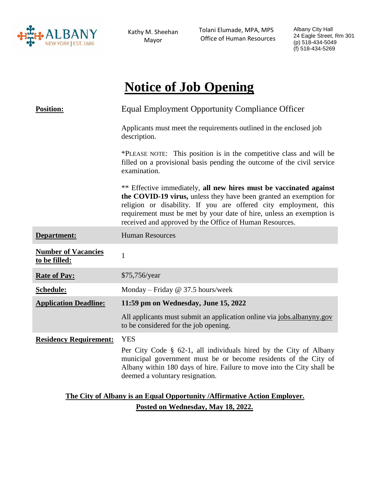

Kathy M. Sheehan Mayor

 Tolani Elumade, MPA, MPS Office of Human Resources Albany City Hall 24 Eagle Street, Rm 301 (p) 518-434-5049 (f) 518-434-5269

# **Notice of Job Opening**

| <b>Position:</b>                                                          | <b>Equal Employment Opportunity Compliance Officer</b>                                                                                                                                                                                                                                                                                          |
|---------------------------------------------------------------------------|-------------------------------------------------------------------------------------------------------------------------------------------------------------------------------------------------------------------------------------------------------------------------------------------------------------------------------------------------|
|                                                                           | Applicants must meet the requirements outlined in the enclosed job<br>description.                                                                                                                                                                                                                                                              |
|                                                                           | *PLEASE NOTE: This position is in the competitive class and will be<br>filled on a provisional basis pending the outcome of the civil service<br>examination.                                                                                                                                                                                   |
|                                                                           | ** Effective immediately, all new hires must be vaccinated against<br>the COVID-19 virus, unless they have been granted an exemption for<br>religion or disability. If you are offered city employment, this<br>requirement must be met by your date of hire, unless an exemption is<br>received and approved by the Office of Human Resources. |
| Department:                                                               | <b>Human Resources</b>                                                                                                                                                                                                                                                                                                                          |
| <b>Number of Vacancies</b><br>to be filled:                               | $\mathbf{1}$                                                                                                                                                                                                                                                                                                                                    |
| <b>Rate of Pay:</b>                                                       | \$75,756/year                                                                                                                                                                                                                                                                                                                                   |
| Schedule:                                                                 | Monday – Friday $@$ 37.5 hours/week                                                                                                                                                                                                                                                                                                             |
| <b>Application Deadline:</b>                                              | 11:59 pm on Wednesday, June 15, 2022                                                                                                                                                                                                                                                                                                            |
|                                                                           | All applicants must submit an application online via jobs.albanyny.gov<br>to be considered for the job opening.                                                                                                                                                                                                                                 |
| <b>Residency Requirement:</b>                                             | <b>YES</b>                                                                                                                                                                                                                                                                                                                                      |
|                                                                           | Per City Code § 62-1, all individuals hired by the City of Albany<br>municipal government must be or become residents of the City of<br>Albany within 180 days of hire. Failure to move into the City shall be<br>deemed a voluntary resignation.                                                                                               |
| The City of Albany is an Equal Opportunity / Affirmative Action Employer. |                                                                                                                                                                                                                                                                                                                                                 |

**Posted on Wednesday, May 18, 2022.**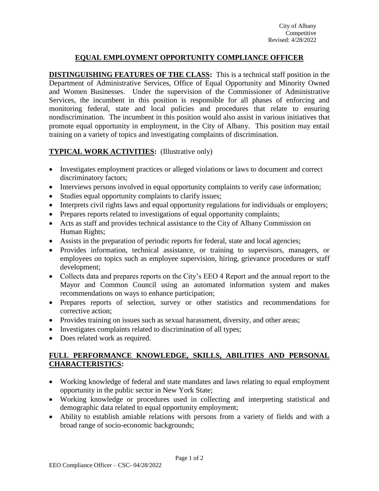## **EQUAL EMPLOYMENT OPPORTUNITY COMPLIANCE OFFICER**

**DISTINGUISHING FEATURES OF THE CLASS:** This is a technical staff position in the Department of Administrative Services, Office of Equal Opportunity and Minority Owned and Women Businesses. Under the supervision of the Commissioner of Administrative Services, the incumbent in this position is responsible for all phases of enforcing and monitoring federal, state and local policies and procedures that relate to ensuring nondiscrimination. The incumbent in this position would also assist in various initiatives that promote equal opportunity in employment, in the City of Albany. This position may entail training on a variety of topics and investigating complaints of discrimination.

## **TYPICAL WORK ACTIVITIES:** (Illustrative only)

- Investigates employment practices or alleged violations or laws to document and correct discriminatory factors;
- Interviews persons involved in equal opportunity complaints to verify case information;
- Studies equal opportunity complaints to clarify issues;
- Interprets civil rights laws and equal opportunity regulations for individuals or employers;
- Prepares reports related to investigations of equal opportunity complaints;
- Acts as staff and provides technical assistance to the City of Albany Commission on Human Rights;
- Assists in the preparation of periodic reports for federal, state and local agencies;
- Provides information, technical assistance, or training to supervisors, managers, or employees on topics such as employee supervision, hiring, grievance procedures or staff development;
- Collects data and prepares reports on the City's EEO 4 Report and the annual report to the Mayor and Common Council using an automated information system and makes recommendations on ways to enhance participation;
- Prepares reports of selection, survey or other statistics and recommendations for corrective action;
- Provides training on issues such as sexual harassment, diversity, and other areas;
- Investigates complaints related to discrimination of all types;
- Does related work as required.

## **FULL PERFORMANCE KNOWLEDGE, SKILLS, ABILITIES AND PERSONAL CHARACTERISTICS:**

- Working knowledge of federal and state mandates and laws relating to equal employment opportunity in the public sector in New York State;
- Working knowledge or procedures used in collecting and interpreting statistical and demographic data related to equal opportunity employment;
- Ability to establish amiable relations with persons from a variety of fields and with a broad range of socio-economic backgrounds;